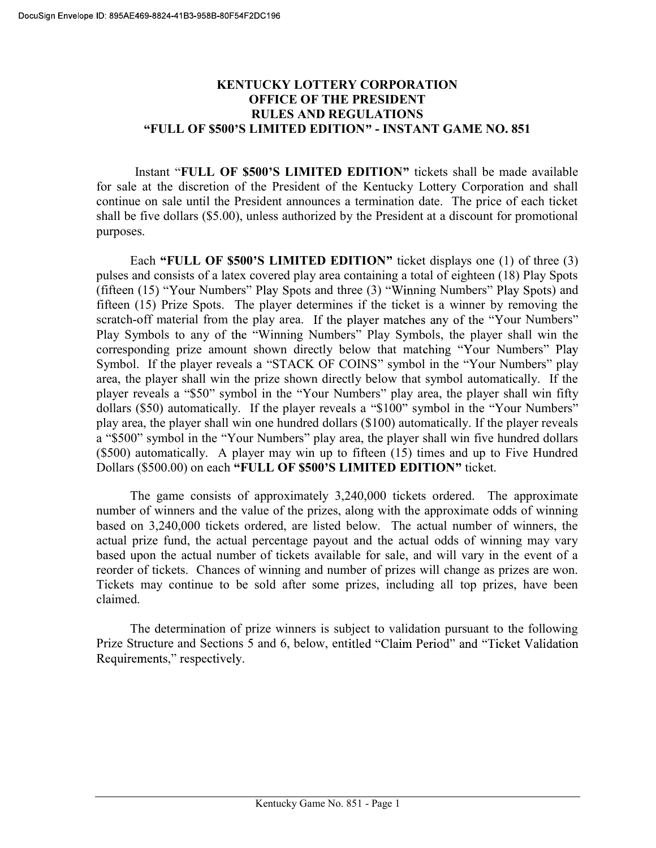## KENTUCKY LOTTERY CORPORATION OFFICE OF THE PRESIDENT RULES AND REGULATIONS "FULL OF \$500'S LIMITED EDITION" - INSTANT GAME NO. 851

Instant "FULL OF \$500'S LIMITED EDITION" tickets shall be made available for sale at the discretion of the President of the Kentucky Lottery Corporation and shall continue on sale until the President announces a termination date. The price of each ticket shall be five dollars (\$5.00), unless authorized by the President at a discount for promotional purposes.

Each "FULL OF \$500'S LIMITED EDITION" ticket displays one  $(1)$  of three  $(3)$ pulses and consists of a latex covered play area containing a total of eighteen (18) Play Spots (fifteen  $(15)$  "Your Numbers" Play Spots and three  $(3)$  "Winning Numbers" Play Spots) and fifteen (15) Prize Spots. The player determines if the ticket is a winner by removing the scratch-off material from the play area. If the player matches any of the "Your Numbers" Play Symbols to any of the "Winning Numbers" Play Symbols, the player shall win the corresponding prize amount shown directly below that matching "Your Numbers" Play Symbol. If the player reveals a "STACK OF COINS" symbol in the "Your Numbers" play area, the player shall win the prize shown directly below that symbol automatically. If the player reveals a "\$50" symbol in the "Your Numbers" play area, the player shall win fifty dollars  $(\$50)$  automatically. If the player reveals a " $\$100"$  symbol in the "Your Numbers" play area, the player shall win one hundred dollars (\$100) automatically. If the player reveals a "\$500" symbol in the "Your Numbers" play area, the player shall win five hundred dollars (\$500) automatically. A player may win up to fifteen (15) times and up to Five Hundred Dollars (\$500.00) on each "FULL OF \$500'S LIMITED EDITION" ticket.

 The game consists of approximately 3,240,000 tickets ordered. The approximate number of winners and the value of the prizes, along with the approximate odds of winning based on 3,240,000 tickets ordered, are listed below. The actual number of winners, the actual prize fund, the actual percentage payout and the actual odds of winning may vary based upon the actual number of tickets available for sale, and will vary in the event of a reorder of tickets. Chances of winning and number of prizes will change as prizes are won. Tickets may continue to be sold after some prizes, including all top prizes, have been claimed.

 The determination of prize winners is subject to validation pursuant to the following Prize Structure and Sections 5 and 6, below, entitled "Claim Period" and "Ticket Validation Requirements," respectively.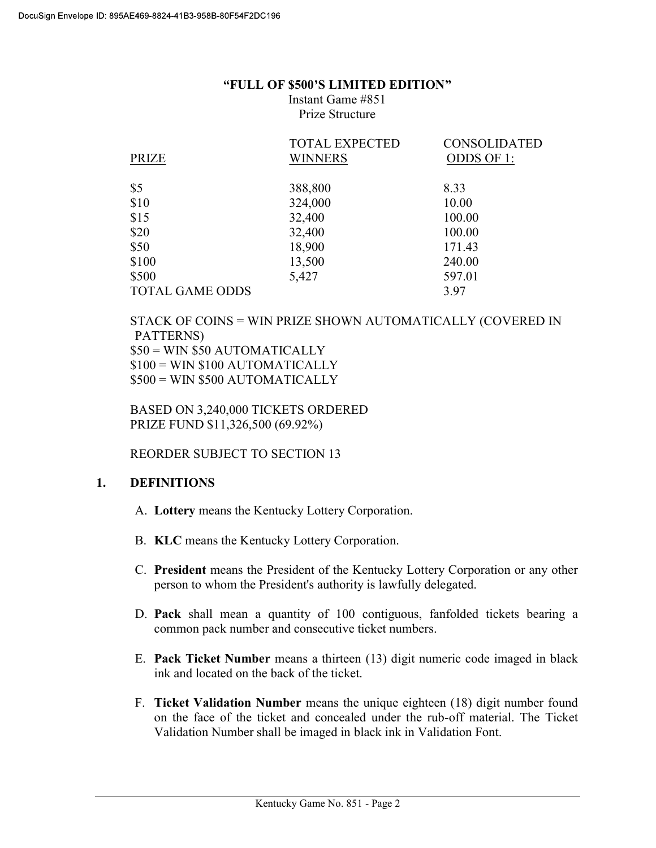#### "FULL OF \$500'S LIMITED EDITION"

#### Instant Game #851 Prize Structure

|                        | <b>TOTAL EXPECTED</b> | <b>CONSOLIDATED</b> |
|------------------------|-----------------------|---------------------|
| PRIZE                  | <b>WINNERS</b>        | ODDS OF 1:          |
| \$5                    | 388,800               | 8.33                |
| \$10                   | 324,000               | 10.00               |
| \$15                   | 32,400                | 100.00              |
| \$20                   | 32,400                | 100.00              |
| \$50                   | 18,900                | 171.43              |
| \$100                  | 13,500                | 240.00              |
| \$500                  | 5,427                 | 597.01              |
| <b>TOTAL GAME ODDS</b> |                       | 3.97                |
|                        |                       |                     |

 STACK OF COINS = WIN PRIZE SHOWN AUTOMATICALLY (COVERED IN PATTERNS)  $$50 = WIN $50$  AUTOMATICALLY  $$100 = WIN $100$  AUTOMATICALLY  $$500 = WIN $500$  AUTOMATICALLY

 BASED ON 3,240,000 TICKETS ORDERED PRIZE FUND \$11,326,500 (69.92%)

REORDER SUBJECT TO SECTION 13

## 1. DEFINITIONS

- A. Lottery means the Kentucky Lottery Corporation.
- B. KLC means the Kentucky Lottery Corporation.
- C. President means the President of the Kentucky Lottery Corporation or any other person to whom the President's authority is lawfully delegated.
- D. Pack shall mean a quantity of 100 contiguous, fanfolded tickets bearing a common pack number and consecutive ticket numbers.
- E. Pack Ticket Number means a thirteen (13) digit numeric code imaged in black ink and located on the back of the ticket.
- F. Ticket Validation Number means the unique eighteen (18) digit number found on the face of the ticket and concealed under the rub-off material. The Ticket Validation Number shall be imaged in black ink in Validation Font.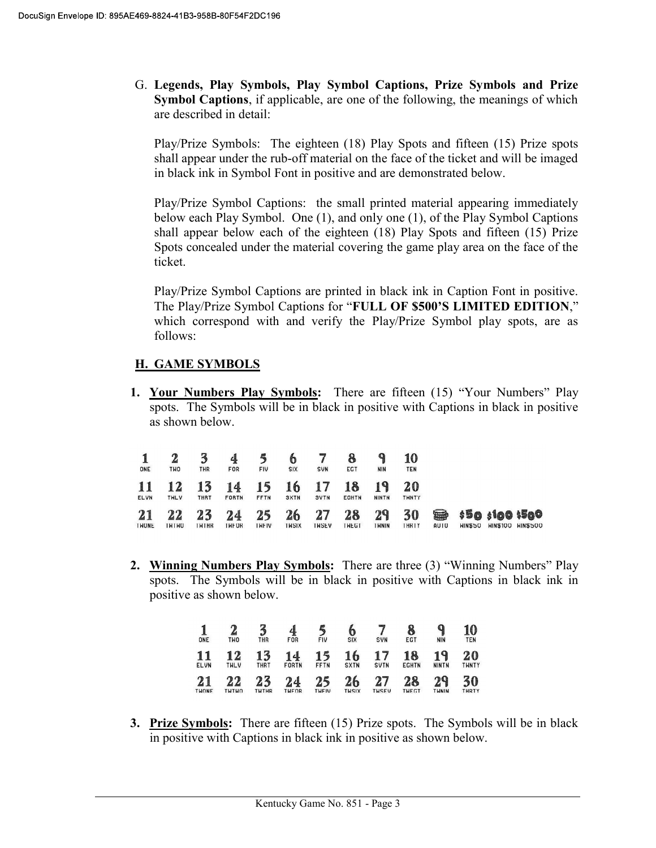G. Legends, Play Symbols, Play Symbol Captions, Prize Symbols and Prize Symbol Captions, if applicable, are one of the following, the meanings of which are described in detail:

Play/Prize Symbols: The eighteen (18) Play Spots and fifteen (15) Prize spots shall appear under the rub-off material on the face of the ticket and will be imaged in black ink in Symbol Font in positive and are demonstrated below.

 Play/Prize Symbol Captions: the small printed material appearing immediately below each Play Symbol. One (1), and only one (1), of the Play Symbol Captions shall appear below each of the eighteen (18) Play Spots and fifteen (15) Prize Spots concealed under the material covering the game play area on the face of the ticket.

 Play/Prize Symbol Captions are printed in black ink in Caption Font in positive. The Play/Prize Symbol Captions for "FULL OF \$500'S LIMITED EDITION," which correspond with and verify the Play/Prize Symbol play spots, are as follows:

# H. GAME SYMBOLS

1. Your Numbers Play Symbols: There are fifteen (15) "Your Numbers" Play spots. The Symbols will be in black in positive with Captions in black in positive as shown below.

|              | $\overline{2}$ | る            | 4            | 5            |              |              | 8            |              | 10           |      |                |                  |                          |
|--------------|----------------|--------------|--------------|--------------|--------------|--------------|--------------|--------------|--------------|------|----------------|------------------|--------------------------|
| ONE          | THO            | THR          | <b>FOR</b>   | FIV          | <b>SIX</b>   | SVN          | EGT          | <b>NIN</b>   | <b>TEN</b>   |      |                |                  |                          |
| 11           | 12             | 13           | 14           | 15           | 16           | 17           | 18           | 19           | 20           |      |                |                  |                          |
| <b>ELVN</b>  | <b>THLV</b>    | <b>THRT</b>  | FORTN        | <b>FFTN</b>  | <b>SXTN</b>  | SVTN         | <b>EGHTN</b> | <b>NINTN</b> | <b>THNTY</b> |      |                |                  |                          |
| 21           | 22             | 23           | 24           | 25           | 26           | 27           | 28           | 29           | 30           | 0    |                | \$50 \$100 \$500 |                          |
| <b>THONE</b> | <b>INTNO</b>   | <b>TWTHR</b> | <b>TWFOR</b> | <b>THEIV</b> | <b>THSIX</b> | <b>THSEV</b> | THEGT        | <b>THNIN</b> | THRTY        | AUTO | <b>WIN\$50</b> |                  | <b>HIN\$100 HIN\$500</b> |

2. Winning Numbers Play Symbols: There are three (3) "Winning Numbers" Play spots. The Symbols will be in black in positive with Captions in black ink in positive as shown below.

| ONE          | 2<br><b>THO</b> | 3<br>THR     | <b>FOR</b>   | <b>FIV</b>   | 0<br><b>SIX</b> | SVN          | EGT          | q<br><b>NIN</b> | 10<br><b>TEN</b> |
|--------------|-----------------|--------------|--------------|--------------|-----------------|--------------|--------------|-----------------|------------------|
| 11           | 12              | 13           | 14           | 15           | 16              | 17           | 18           | 19              | 20               |
| <b>ELVN</b>  | <b>THLV</b>     | THRT         | <b>FORTN</b> | <b>FFTN</b>  | <b>SXTN</b>     | <b>SVTN</b>  | <b>EGHTN</b> | <b>NINTN</b>    | <b>THNTY</b>     |
| 21           | 22              | 23           | 24           | 25           | 26              | 27           | 28           | 29              | 30               |
| <b>THONE</b> | <b>THTHO</b>    | <b>TWTHR</b> | <b>THFOR</b> | <b>THFIV</b> | <b>THSIX</b>    | <b>THSEV</b> | <b>THEGT</b> | <b>THNIN</b>    | <b>THRTY</b>     |

**3. Prize Symbols:** There are fifteen (15) Prize spots. The Symbols will be in black in positive with Captions in black ink in positive as shown below.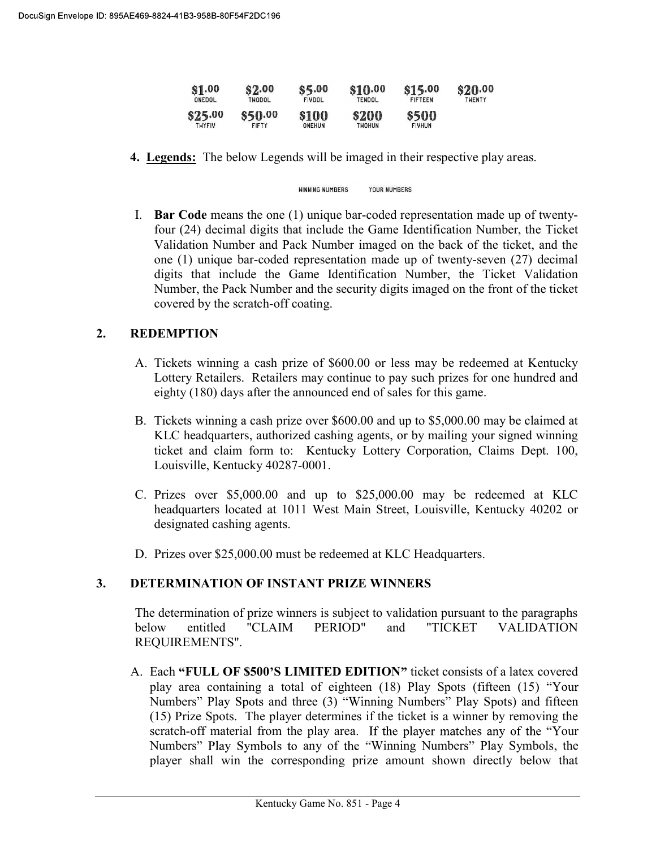| \$1.00  | \$2.00  | \$5,00        | \$10.00 | \$15.00        | \$20.00       |
|---------|---------|---------------|---------|----------------|---------------|
| ONEDOL  | TWODOL  | <b>FIVDOL</b> | TENDOL  | <b>FIFTEEN</b> | <b>THENTY</b> |
| \$25.00 | \$50.00 | <b>\$100</b>  | \$200   | \$500          |               |
| TWYFIV  | FIFTY   | ONEHUN        | TWOHUN  | <b>FIVHUN</b>  |               |

4. Legends: The below Legends will be imaged in their respective play areas.

**HINNING NUMBERS** YOUR NUMBERS

I. Bar Code means the one (1) unique bar-coded representation made up of twentyfour (24) decimal digits that include the Game Identification Number, the Ticket Validation Number and Pack Number imaged on the back of the ticket, and the one (1) unique bar-coded representation made up of twenty-seven (27) decimal digits that include the Game Identification Number, the Ticket Validation Number, the Pack Number and the security digits imaged on the front of the ticket covered by the scratch-off coating.

## 2. REDEMPTION

- A. Tickets winning a cash prize of \$600.00 or less may be redeemed at Kentucky Lottery Retailers. Retailers may continue to pay such prizes for one hundred and eighty (180) days after the announced end of sales for this game.
- B. Tickets winning a cash prize over \$600.00 and up to \$5,000.00 may be claimed at KLC headquarters, authorized cashing agents, or by mailing your signed winning ticket and claim form to: Kentucky Lottery Corporation, Claims Dept. 100, Louisville, Kentucky 40287-0001.
- C. Prizes over \$5,000.00 and up to \$25,000.00 may be redeemed at KLC headquarters located at 1011 West Main Street, Louisville, Kentucky 40202 or designated cashing agents.
- D. Prizes over \$25,000.00 must be redeemed at KLC Headquarters.

## 3. DETERMINATION OF INSTANT PRIZE WINNERS

 The determination of prize winners is subject to validation pursuant to the paragraphs below entitled "CLAIM PERIOD" and "TICKET VALIDATION REQUIREMENTS".

A. Each "FULL OF \$500'S LIMITED EDITION" ticket consists of a latex covered play area containing a total of eighteen (18) Play Spots (fifteen (15) "Your Numbers" Play Spots and three (3) "Winning Numbers" Play Spots) and fifteen (15) Prize Spots. The player determines if the ticket is a winner by removing the scratch-off material from the play area. If the player matches any of the "Your Numbers" Play Symbols to any of the "Winning Numbers" Play Symbols, the player shall win the corresponding prize amount shown directly below that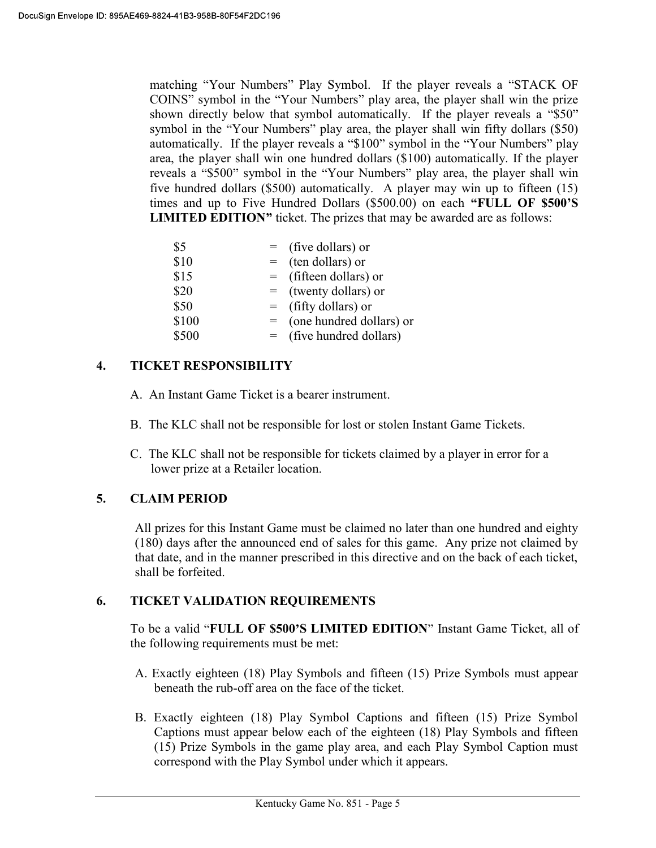matching "Your Numbers" Play Symbol. If the player reveals a "STACK OF COINS" symbol in the "Your Numbers" play area, the player shall win the prize shown directly below that symbol automatically. If the player reveals a  $\cdot$ \$50" symbol in the "Your Numbers" play area, the player shall win fifty dollars (\$50) automatically. If the player reveals a "\$100" symbol in the "Your Numbers" play area, the player shall win one hundred dollars (\$100) automatically. If the player reveals a "\$500" symbol in the "Your Numbers" play area, the player shall win five hundred dollars (\$500) automatically. A player may win up to fifteen (15) times and up to Five Hundred Dollars  $(\$500.00)$  on each "FULL OF  $\$500'S$ LIMITED EDITION" ticket. The prizes that may be awarded are as follows:

| \$5   | $=$ (five dollars) or        |
|-------|------------------------------|
| \$10  | $=$ (ten dollars) or         |
| \$15  | $=$ (fifteen dollars) or     |
| \$20  | $=$ (twenty dollars) or      |
| \$50  | $=$ (fifty dollars) or       |
| \$100 | $=$ (one hundred dollars) or |
| \$500 | $=$ (five hundred dollars)   |

## 4. TICKET RESPONSIBILITY

- A. An Instant Game Ticket is a bearer instrument.
- B. The KLC shall not be responsible for lost or stolen Instant Game Tickets.
- C. The KLC shall not be responsible for tickets claimed by a player in error for a lower prize at a Retailer location.

# 5. CLAIM PERIOD

 All prizes for this Instant Game must be claimed no later than one hundred and eighty (180) days after the announced end of sales for this game. Any prize not claimed by that date, and in the manner prescribed in this directive and on the back of each ticket, shall be forfeited.

# 6. TICKET VALIDATION REQUIREMENTS

To be a valid "FULL OF \$500'S LIMITED EDITION" Instant Game Ticket, all of the following requirements must be met:

- A. Exactly eighteen (18) Play Symbols and fifteen (15) Prize Symbols must appear beneath the rub-off area on the face of the ticket.
- B. Exactly eighteen (18) Play Symbol Captions and fifteen (15) Prize Symbol Captions must appear below each of the eighteen (18) Play Symbols and fifteen (15) Prize Symbols in the game play area, and each Play Symbol Caption must correspond with the Play Symbol under which it appears.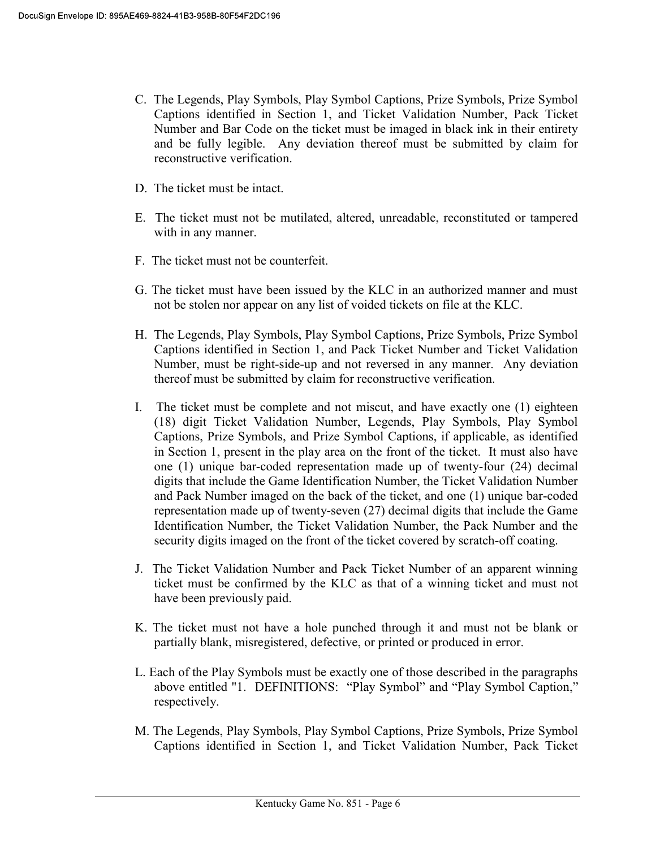- C. The Legends, Play Symbols, Play Symbol Captions, Prize Symbols, Prize Symbol Captions identified in Section 1, and Ticket Validation Number, Pack Ticket Number and Bar Code on the ticket must be imaged in black ink in their entirety and be fully legible. Any deviation thereof must be submitted by claim for reconstructive verification.
- D. The ticket must be intact.
- E. The ticket must not be mutilated, altered, unreadable, reconstituted or tampered with in any manner.
- F. The ticket must not be counterfeit.
- G. The ticket must have been issued by the KLC in an authorized manner and must not be stolen nor appear on any list of voided tickets on file at the KLC.
- H. The Legends, Play Symbols, Play Symbol Captions, Prize Symbols, Prize Symbol Captions identified in Section 1, and Pack Ticket Number and Ticket Validation Number, must be right-side-up and not reversed in any manner. Any deviation thereof must be submitted by claim for reconstructive verification.
- I. The ticket must be complete and not miscut, and have exactly one (1) eighteen (18) digit Ticket Validation Number, Legends, Play Symbols, Play Symbol Captions, Prize Symbols, and Prize Symbol Captions, if applicable, as identified in Section 1, present in the play area on the front of the ticket. It must also have one (1) unique bar-coded representation made up of twenty-four (24) decimal digits that include the Game Identification Number, the Ticket Validation Number and Pack Number imaged on the back of the ticket, and one (1) unique bar-coded representation made up of twenty-seven (27) decimal digits that include the Game Identification Number, the Ticket Validation Number, the Pack Number and the security digits imaged on the front of the ticket covered by scratch-off coating.
- J. The Ticket Validation Number and Pack Ticket Number of an apparent winning ticket must be confirmed by the KLC as that of a winning ticket and must not have been previously paid.
- K. The ticket must not have a hole punched through it and must not be blank or partially blank, misregistered, defective, or printed or produced in error.
- L. Each of the Play Symbols must be exactly one of those described in the paragraphs above entitled "1. DEFINITIONS: "Play Symbol" and "Play Symbol Caption," respectively.
- M. The Legends, Play Symbols, Play Symbol Captions, Prize Symbols, Prize Symbol Captions identified in Section 1, and Ticket Validation Number, Pack Ticket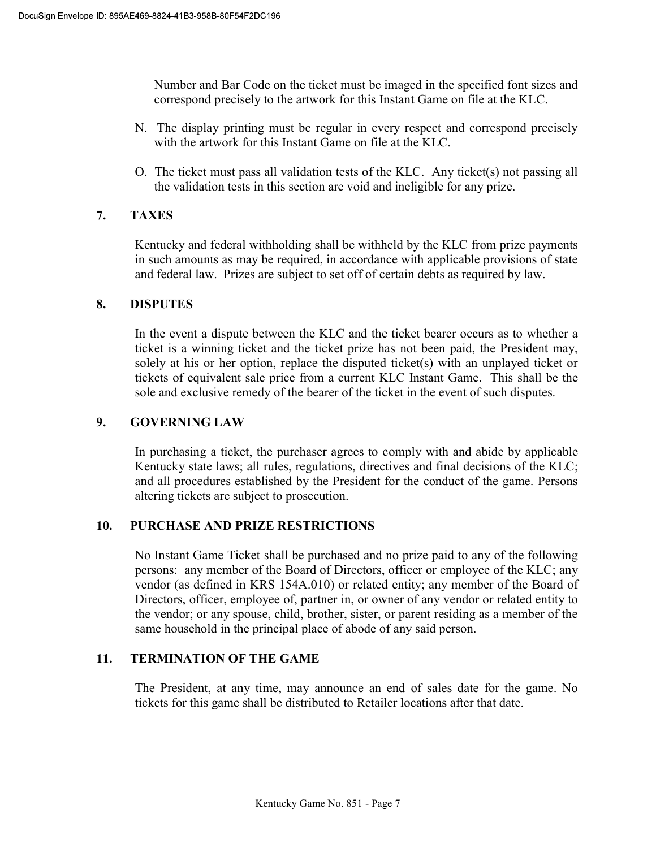Number and Bar Code on the ticket must be imaged in the specified font sizes and correspond precisely to the artwork for this Instant Game on file at the KLC.

- N. The display printing must be regular in every respect and correspond precisely with the artwork for this Instant Game on file at the KLC.
- O. The ticket must pass all validation tests of the KLC. Any ticket(s) not passing all the validation tests in this section are void and ineligible for any prize.

## 7. TAXES

 Kentucky and federal withholding shall be withheld by the KLC from prize payments in such amounts as may be required, in accordance with applicable provisions of state and federal law. Prizes are subject to set off of certain debts as required by law.

## 8. DISPUTES

 In the event a dispute between the KLC and the ticket bearer occurs as to whether a ticket is a winning ticket and the ticket prize has not been paid, the President may, solely at his or her option, replace the disputed ticket(s) with an unplayed ticket or tickets of equivalent sale price from a current KLC Instant Game. This shall be the sole and exclusive remedy of the bearer of the ticket in the event of such disputes.

## 9. GOVERNING LAW

 In purchasing a ticket, the purchaser agrees to comply with and abide by applicable Kentucky state laws; all rules, regulations, directives and final decisions of the KLC; and all procedures established by the President for the conduct of the game. Persons altering tickets are subject to prosecution.

## 10. PURCHASE AND PRIZE RESTRICTIONS

No Instant Game Ticket shall be purchased and no prize paid to any of the following persons: any member of the Board of Directors, officer or employee of the KLC; any vendor (as defined in KRS 154A.010) or related entity; any member of the Board of Directors, officer, employee of, partner in, or owner of any vendor or related entity to the vendor; or any spouse, child, brother, sister, or parent residing as a member of the same household in the principal place of abode of any said person.

## 11. TERMINATION OF THE GAME

The President, at any time, may announce an end of sales date for the game. No tickets for this game shall be distributed to Retailer locations after that date.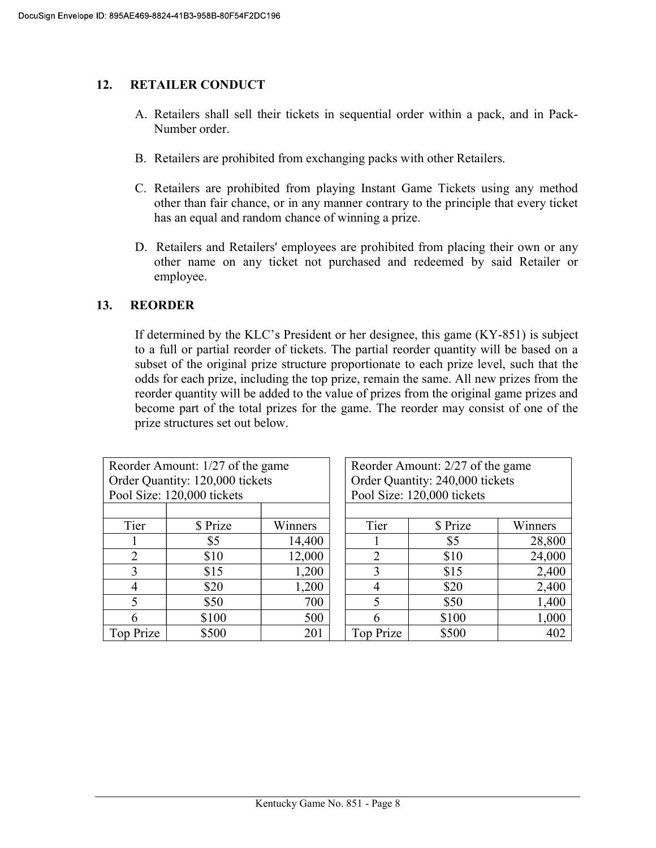## 12. RETAILER CONDUCT

- A. Retailers shall sell their tickets in sequential order within a pack, and in Pack-Number order.
- B. Retailers are prohibited from exchanging packs with other Retailers.
- C. Retailers are prohibited from playing Instant Game Tickets using any method other than fair chance, or in any manner contrary to the principle that every ticket has an equal and random chance of winning a prize.
- D. Retailers and Retailers' employees are prohibited from placing their own or any other name on any ticket not purchased and redeemed by said Retailer or employee.

## 13. REORDER

If determined by the KLC's President or her designee, this game  $(KY-851)$  is subject to a full or partial reorder of tickets. The partial reorder quantity will be based on a subset of the original prize structure proportionate to each prize level, such that the odds for each prize, including the top prize, remain the same. All new prizes from the reorder quantity will be added to the value of prizes from the original game prizes and become part of the total prizes for the game. The reorder may consist of one of the prize structures set out below.

| Reorder Amount: 1/27 of the game<br>Order Quantity: 120,000 tickets<br>Pool Size: 120,000 tickets |          |         |  | Reorder Amount: 2/27 of the game<br>Order Quantity: 240,000 tickets<br>Pool Size: 120,000 tickets |          |         |  |
|---------------------------------------------------------------------------------------------------|----------|---------|--|---------------------------------------------------------------------------------------------------|----------|---------|--|
|                                                                                                   |          |         |  |                                                                                                   |          |         |  |
| Tier                                                                                              | \$ Prize | Winners |  | Tier                                                                                              | \$ Prize | Winners |  |
|                                                                                                   | \$5      | 14,400  |  |                                                                                                   | \$5      | 28,800  |  |
| 2                                                                                                 | \$10     | 12,000  |  | $\mathcal{L}$                                                                                     | \$10     | 24,000  |  |
| 3                                                                                                 | \$15     | 1,200   |  | 3                                                                                                 | \$15     | 2,400   |  |
| 4                                                                                                 | \$20     | 1,200   |  |                                                                                                   | \$20     | 2,400   |  |
| 5<br>\$50<br>700                                                                                  |          |         |  |                                                                                                   | \$50     | 1,400   |  |
| \$100<br>500<br>6                                                                                 |          |         |  | 6                                                                                                 | \$100    | 1,000   |  |
| \$500<br>Top Prize<br>201                                                                         |          |         |  | Top Prize                                                                                         | \$500    | 402     |  |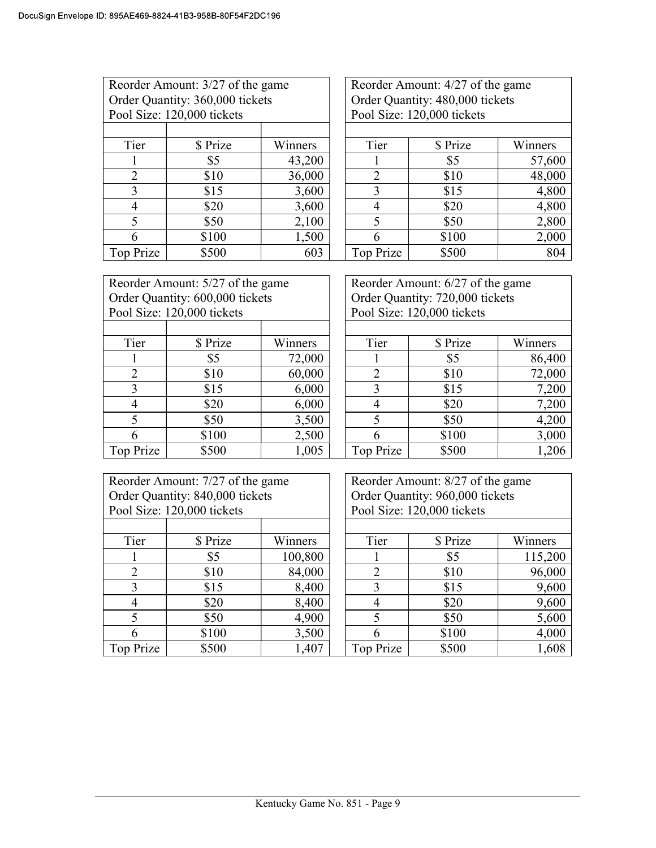| Reorder Amount: 3/27 of the game |               |         |  |  |  |  |  |  |  |
|----------------------------------|---------------|---------|--|--|--|--|--|--|--|
| Order Quantity: 360,000 tickets  |               |         |  |  |  |  |  |  |  |
| Pool Size: 120,000 tickets       |               |         |  |  |  |  |  |  |  |
|                                  |               |         |  |  |  |  |  |  |  |
| Tier                             | \$ Prize      | Winners |  |  |  |  |  |  |  |
|                                  | 43,200<br>\$5 |         |  |  |  |  |  |  |  |
| 2                                | \$10          | 36,000  |  |  |  |  |  |  |  |
| 3                                | \$15          | 3,600   |  |  |  |  |  |  |  |
| 4                                | \$20          | 3,600   |  |  |  |  |  |  |  |
| 5                                | \$50          | 2,100   |  |  |  |  |  |  |  |
| \$100<br>1,500<br>6              |               |         |  |  |  |  |  |  |  |
| Top Prize                        | \$500         | 603     |  |  |  |  |  |  |  |

| Reorder Amount: 3/27 of the game |                                 |         |  | Reorder Amount: 4/27 of the game |          |         |  |  |
|----------------------------------|---------------------------------|---------|--|----------------------------------|----------|---------|--|--|
|                                  | Order Quantity: 360,000 tickets |         |  | Order Quantity: 480,000 tickets  |          |         |  |  |
|                                  | Pool Size: 120,000 tickets      |         |  | Pool Size: 120,000 tickets       |          |         |  |  |
|                                  |                                 |         |  |                                  |          |         |  |  |
| Tier                             | \$ Prize                        | Winners |  | Tier                             | \$ Prize | Winners |  |  |
|                                  | \$5                             | 43,200  |  |                                  | \$5      | 57,600  |  |  |
| 2                                | \$10                            | 36,000  |  | 2                                | \$10     | 48,000  |  |  |
| 3                                | \$15                            | 3,600   |  |                                  | \$15     | 4,800   |  |  |
|                                  | \$20                            | 3,600   |  |                                  | \$20     | 4,800   |  |  |
| \$50<br>2,100                    |                                 |         |  |                                  | \$50     | 2,800   |  |  |
| \$100<br>1,500                   |                                 |         |  |                                  | \$100    | 2,000   |  |  |
| \$500<br>603<br>Top Prize        |                                 |         |  | Top Prize                        | \$500    | 804     |  |  |

| Reorder Amount: 5/27 of the game |          |         |  | Reorder Amount: 6/27 of the game |                                 |         |  |
|----------------------------------|----------|---------|--|----------------------------------|---------------------------------|---------|--|
| Order Quantity: 600,000 tickets  |          |         |  |                                  | Order Quantity: 720,000 tickets |         |  |
| Pool Size: 120,000 tickets       |          |         |  | Pool Size: 120,000 tickets       |                                 |         |  |
|                                  |          |         |  |                                  |                                 |         |  |
| Tier                             | \$ Prize | Winners |  | Tier                             | \$ Prize                        | Winners |  |
|                                  | \$5      | 72,000  |  |                                  | \$5                             | 86,400  |  |
| $\overline{2}$                   | \$10     | 60,000  |  | $\mathfrak{D}$                   | \$10                            | 72,000  |  |
| 3                                | \$15     | 6,000   |  | 3                                | \$15                            | 7,200   |  |
| 4                                | \$20     | 6,000   |  | 4                                | \$20                            | 7,200   |  |
| 5                                | \$50     | 3,500   |  | 5                                | \$50                            | 4,200   |  |
| 2,500<br>\$100<br>6              |          |         |  | 6                                | \$100                           | 3,000   |  |
| 1,005<br>Top Prize<br>\$500      |          |         |  | Top Prize                        | \$500                           | 1,206   |  |

| Reorder Amount: 7/27 of the game<br>Order Quantity: 840,000 tickets<br>Pool Size: 120,000 tickets |          |         |   |                | Reorder Amount: 8/27 of the game<br>Order Quantity: 960,000 tickets<br>Pool Size: 120,000 tickets |         |
|---------------------------------------------------------------------------------------------------|----------|---------|---|----------------|---------------------------------------------------------------------------------------------------|---------|
| Tier                                                                                              | \$ Prize | Winners |   | Tier           | \$ Prize                                                                                          | Winners |
|                                                                                                   | \$5      | 100,800 |   |                | \$5                                                                                               | 115,200 |
| $\overline{2}$                                                                                    | \$10     | 84,000  |   | $\overline{2}$ | \$10                                                                                              | 96,000  |
| 3                                                                                                 | \$15     | 8,400   |   | 3              | \$15                                                                                              | 9,600   |
| 4                                                                                                 | \$20     | 8,400   |   |                | \$20                                                                                              | 9,600   |
| 4,900<br>\$50                                                                                     |          |         | 5 | \$50           | 5,600                                                                                             |         |
| \$100<br>3,500<br>6                                                                               |          |         |   | 6              | \$100                                                                                             | 4,000   |
| Top Prize<br>\$500<br>1,407                                                                       |          |         |   | Top Prize      | \$500                                                                                             | 1,608   |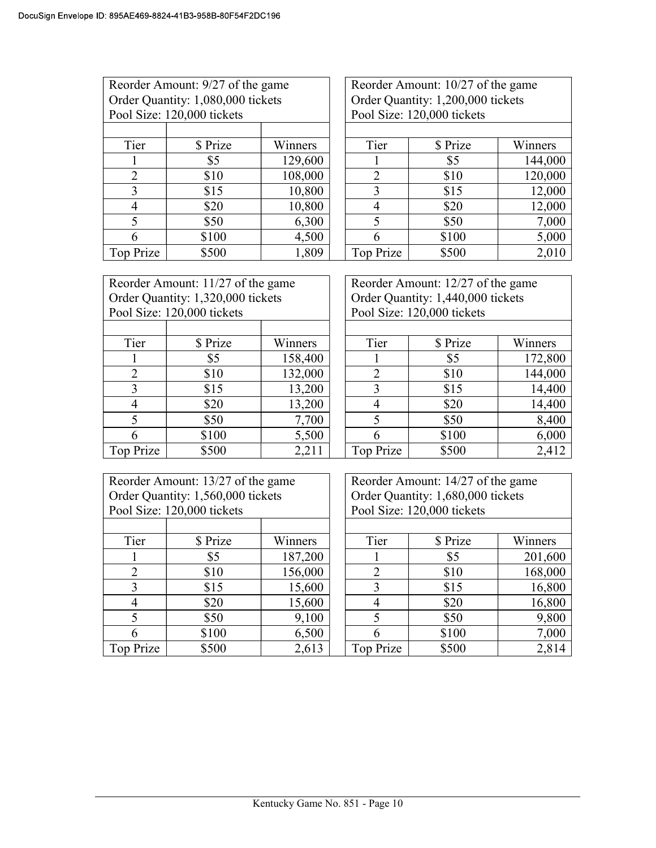| Reorder Amount: 9/27 of the game  |                |         |  |  |  |  |  |  |  |
|-----------------------------------|----------------|---------|--|--|--|--|--|--|--|
| Order Quantity: 1,080,000 tickets |                |         |  |  |  |  |  |  |  |
| Pool Size: 120,000 tickets        |                |         |  |  |  |  |  |  |  |
|                                   |                |         |  |  |  |  |  |  |  |
| Tier                              | \$ Prize       | Winners |  |  |  |  |  |  |  |
|                                   | \$5<br>129,600 |         |  |  |  |  |  |  |  |
| 2                                 | \$10           | 108,000 |  |  |  |  |  |  |  |
| 3                                 | \$15           | 10,800  |  |  |  |  |  |  |  |
| 4                                 | \$20           | 10,800  |  |  |  |  |  |  |  |
| 5                                 | \$50           | 6,300   |  |  |  |  |  |  |  |
| 6                                 | 4,500<br>\$100 |         |  |  |  |  |  |  |  |
| Top Prize                         | \$500          | 1,809   |  |  |  |  |  |  |  |

| Reorder Amount: 9/27 of the game |                                   |         |  | Reorder Amount: 10/27 of the game |          |         |  |  |
|----------------------------------|-----------------------------------|---------|--|-----------------------------------|----------|---------|--|--|
|                                  | Order Quantity: 1,080,000 tickets |         |  | Order Quantity: 1,200,000 tickets |          |         |  |  |
|                                  | Pool Size: 120,000 tickets        |         |  | Pool Size: 120,000 tickets        |          |         |  |  |
|                                  |                                   |         |  |                                   |          |         |  |  |
| Tier                             | \$ Prize                          | Winners |  | Tier                              | \$ Prize | Winners |  |  |
|                                  | \$5                               | 129,600 |  |                                   | \$5      | 144,000 |  |  |
| 2                                | \$10                              | 108,000 |  |                                   | \$10     | 120,000 |  |  |
|                                  | \$15                              | 10,800  |  |                                   | \$15     | 12,000  |  |  |
|                                  | \$20                              | 10,800  |  |                                   | \$20     | 12,000  |  |  |
| 6,300<br>\$50                    |                                   |         |  | \$50                              | 7,000    |         |  |  |
| \$100<br>4,500                   |                                   |         |  |                                   | \$100    | 5,000   |  |  |
| \$500<br>1,809<br>Top Prize      |                                   |         |  | Top Prize                         | \$500    | 2,010   |  |  |

| Reorder Amount: 11/27 of the game |                            |         |                             | Reorder Amount: 12/27 of the game |         |  |
|-----------------------------------|----------------------------|---------|-----------------------------|-----------------------------------|---------|--|
| Order Quantity: 1,320,000 tickets |                            |         |                             | Order Quantity: 1,440,000 tickets |         |  |
|                                   | Pool Size: 120,000 tickets |         |                             | Pool Size: 120,000 tickets        |         |  |
|                                   |                            |         |                             |                                   |         |  |
| Tier                              | \$ Prize                   | Winners | Tier                        | \$ Prize                          | Winners |  |
|                                   | \$5                        | 158,400 |                             | \$5                               | 172,800 |  |
| 2                                 | \$10                       | 132,000 | $\mathcal{D}_{\mathcal{L}}$ | \$10                              | 144,000 |  |
| 3                                 | \$15                       | 13,200  | 3                           | \$15                              | 14,400  |  |
| 4                                 | \$20                       | 13,200  | 4                           | \$20                              | 14,400  |  |
| $\overline{\mathcal{L}}$          | \$50                       | 7,700   | $\overline{\mathcal{L}}$    | \$50                              | 8,400   |  |
| 6                                 | \$100                      | 5,500   | 6                           | \$100                             | 6,000   |  |
| Top Prize                         | \$500                      | 2,211   | Top Prize                   | \$500                             | 2,412   |  |
|                                   |                            |         |                             |                                   |         |  |

| Reorder Amount: 13/27 of the game<br>Order Quantity: 1,560,000 tickets<br>Pool Size: 120,000 tickets |          |         | Reorder Amount: 14/27 of the game<br>Order Quantity: 1,680,000 tickets<br>Pool Size: 120,000 tickets |          |         |
|------------------------------------------------------------------------------------------------------|----------|---------|------------------------------------------------------------------------------------------------------|----------|---------|
|                                                                                                      |          |         |                                                                                                      |          |         |
| Tier                                                                                                 | \$ Prize | Winners | Tier                                                                                                 | \$ Prize | Winners |
|                                                                                                      | \$5      | 187,200 |                                                                                                      | \$5      | 201,600 |
| $\overline{2}$                                                                                       | \$10     | 156,000 | 2                                                                                                    | \$10     | 168,000 |
| 3                                                                                                    | \$15     | 15,600  | 3                                                                                                    | \$15     | 16,800  |
| 4                                                                                                    | \$20     | 15,600  | 4                                                                                                    | \$20     | 16,800  |
|                                                                                                      | \$50     | 9,100   | 5                                                                                                    | \$50     | 9,800   |
| 6                                                                                                    | \$100    | 6,500   | 6                                                                                                    | \$100    | 7,000   |
| Top Prize                                                                                            | \$500    | 2,613   | Top Prize                                                                                            | \$500    | 2,814   |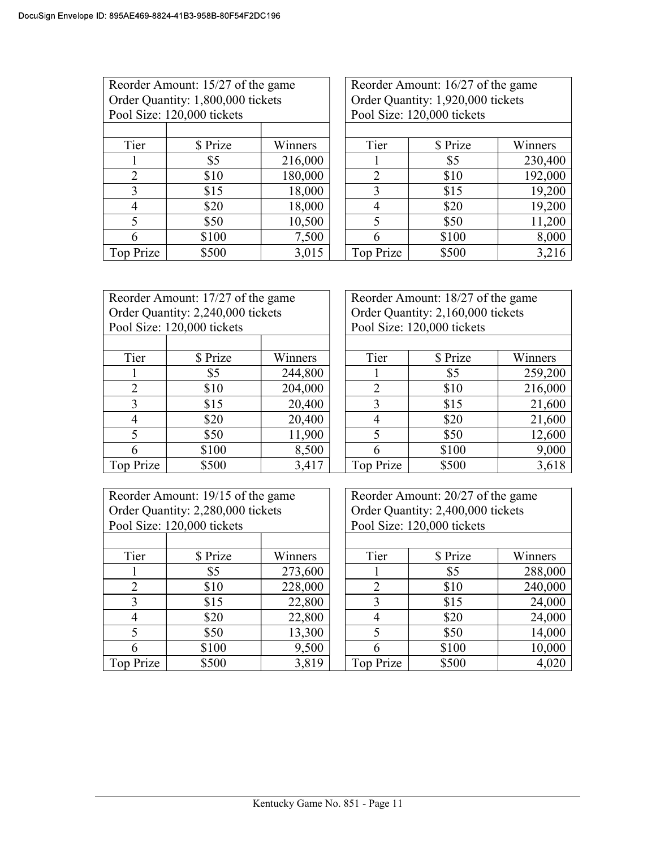| Reorder Amount: 15/27 of the game<br>Order Quantity: 1,800,000 tickets<br>Pool Size: 120,000 tickets |          |         | Reorder Amount: 16/27 of the game<br>Order Quantity: 1,920,000 tickets<br>Pool Size: 120,000 tickets |          |         |
|------------------------------------------------------------------------------------------------------|----------|---------|------------------------------------------------------------------------------------------------------|----------|---------|
| Tier                                                                                                 | \$ Prize | Winners | Tier                                                                                                 | \$ Prize | Winners |
|                                                                                                      | \$5      | 216,000 |                                                                                                      | \$5      | 230,400 |
| 2                                                                                                    | \$10     | 180,000 | 2                                                                                                    | \$10     | 192,000 |
| 3                                                                                                    | \$15     | 18,000  | 3                                                                                                    | \$15     | 19,200  |
| 4                                                                                                    | \$20     | 18,000  | 4                                                                                                    | \$20     | 19,200  |
| 5                                                                                                    | \$50     | 10,500  | 5                                                                                                    | \$50     | 11,200  |
| 6                                                                                                    | \$100    | 7,500   | 6                                                                                                    | \$100    | 8,000   |
| Top Prize                                                                                            | \$500    | 3,015   | Top Prize                                                                                            | \$500    | 3,216   |

| Reorder Amount: 17/27 of the game |                                   |         | Reorder Amount: 18/27 of the game |                            |         |  |
|-----------------------------------|-----------------------------------|---------|-----------------------------------|----------------------------|---------|--|
|                                   | Order Quantity: 2,240,000 tickets |         | Order Quantity: 2,160,000 tickets |                            |         |  |
|                                   | Pool Size: 120,000 tickets        |         |                                   | Pool Size: 120,000 tickets |         |  |
|                                   |                                   |         |                                   |                            |         |  |
| Tier                              | \$ Prize                          | Winners | Tier                              | \$ Prize                   | Winners |  |
|                                   | \$5                               | 244,800 |                                   | \$5                        | 259,200 |  |
| $\overline{2}$                    | \$10                              | 204,000 | 2                                 | \$10                       | 216,000 |  |
| 3                                 | \$15                              | 20,400  | 3                                 | \$15                       | 21,600  |  |
| 4                                 | \$20                              | 20,400  | 4                                 | \$20                       | 21,600  |  |
|                                   | \$50                              | 11,900  | 5                                 | \$50                       | 12,600  |  |
| 6                                 | \$100                             | 8,500   | 6                                 | \$100                      | 9,000   |  |
| Top Prize                         | \$500                             | 3,417   | Top Prize                         | \$500                      | 3,618   |  |
|                                   |                                   |         |                                   |                            |         |  |
| Reorder Amount: 19/15 of the game |                                   |         | Reorder Amount: 20/27 of the game |                            |         |  |
| Order Quantity: 2,280,000 tickets |                                   |         | Order Quantity: 2,400,000 tickets |                            |         |  |
| Pool Size: 120,000 tickets        |                                   |         |                                   | Pool Size: 120,000 tickets |         |  |

| Order Quantity: $2,280,000$ tickets<br>Pool Size: 120,000 tickets |          | Order Quantity: 2,400,000 fickets<br>Pool Size: 120,000 tickets |           |          |         |
|-------------------------------------------------------------------|----------|-----------------------------------------------------------------|-----------|----------|---------|
|                                                                   |          |                                                                 |           |          |         |
| Tier                                                              | \$ Prize | Winners                                                         | Tier      | \$ Prize | Winners |
|                                                                   | \$5      | 273,600                                                         |           | \$5      | 288,000 |
| 2                                                                 | \$10     | 228,000                                                         | 2         | \$10     | 240,000 |
| 3                                                                 | \$15     | 22,800                                                          |           | \$15     | 24,000  |
| 4                                                                 | \$20     | 22,800                                                          |           | \$20     | 24,000  |
| 5                                                                 | \$50     | 13,300                                                          |           | \$50     | 14,000  |
| 6                                                                 | \$100    | 9,500                                                           |           | \$100    | 10,000  |
| Top Prize                                                         | \$500    | 3,819                                                           | Top Prize | \$500    | 4,020   |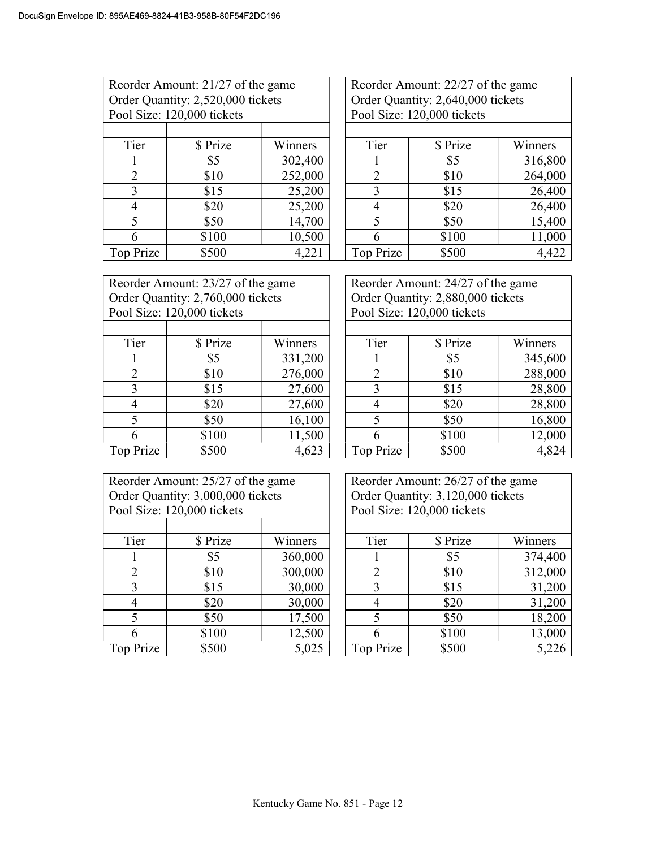| Reorder Amount: 21/27 of the game |                            |         |                            | Reorder Amount: 22/27 of the game |                                   |         |
|-----------------------------------|----------------------------|---------|----------------------------|-----------------------------------|-----------------------------------|---------|
| Order Quantity: 2,520,000 tickets |                            |         |                            |                                   | Order Quantity: 2,640,000 tickets |         |
|                                   | Pool Size: 120,000 tickets |         | Pool Size: 120,000 tickets |                                   |                                   |         |
|                                   |                            |         |                            |                                   |                                   |         |
| Tier                              | \$ Prize                   | Winners |                            | Tier                              | \$ Prize                          | Winners |
|                                   | \$5                        | 302,400 |                            |                                   | \$5                               | 316,800 |
| $\overline{2}$                    | \$10                       | 252,000 |                            | $\overline{2}$                    | \$10                              | 264,000 |
| 3                                 | \$15                       | 25,200  |                            | 3                                 | \$15                              | 26,400  |
| 4                                 | \$20                       | 25,200  |                            | 4                                 | \$20                              | 26,400  |
| $\varsigma$                       | \$50                       | 14,700  |                            | 5                                 | \$50                              | 15,400  |
| 6                                 | \$100                      | 10,500  |                            | 6                                 | \$100                             | 11,000  |
| Top Prize                         | \$500                      | 4,221   |                            | Top Prize                         | \$500                             | 4,422   |

| Reorder Amount: 22/27 of the game |                                   |         |  |  |  |  |  |
|-----------------------------------|-----------------------------------|---------|--|--|--|--|--|
|                                   | Order Quantity: 2,640,000 tickets |         |  |  |  |  |  |
|                                   | Pool Size: 120,000 tickets        |         |  |  |  |  |  |
|                                   |                                   |         |  |  |  |  |  |
| Tier                              | \$ Prize                          | Winners |  |  |  |  |  |
|                                   | \$5                               | 316,800 |  |  |  |  |  |
| 2                                 | 264,000<br>\$10                   |         |  |  |  |  |  |
| 3                                 | 26,400<br>\$15                    |         |  |  |  |  |  |
| 4                                 | 26,400<br>\$20                    |         |  |  |  |  |  |
| 5                                 | 15,400<br>\$50                    |         |  |  |  |  |  |
| 6                                 | 11,000<br>\$100                   |         |  |  |  |  |  |
| Top Prize                         | \$500                             | 4,422   |  |  |  |  |  |

| Reorder Amount: 23/27 of the game |                            | Reorder Amount: 24/27 of the game |                                   |                            |         |
|-----------------------------------|----------------------------|-----------------------------------|-----------------------------------|----------------------------|---------|
| Order Quantity: 2,760,000 tickets |                            |                                   | Order Quantity: 2,880,000 tickets |                            |         |
|                                   | Pool Size: 120,000 tickets |                                   |                                   | Pool Size: 120,000 tickets |         |
|                                   |                            |                                   |                                   |                            |         |
| Tier                              | \$ Prize                   | Winners                           | Tier                              | \$ Prize                   | Winners |
|                                   | \$5                        | 331,200                           |                                   | \$5                        | 345,600 |
| $\overline{2}$                    | \$10                       | 276,000                           | 2                                 | \$10                       | 288,000 |
| 3                                 | \$15                       | 27,600                            | 3                                 | \$15                       | 28,800  |
| 4                                 | \$20                       | 27,600                            | 4                                 | \$20                       | 28,800  |
|                                   | \$50                       | 16,100                            | 5                                 | \$50                       | 16,800  |
| 6                                 | \$100                      | 11,500                            | 6                                 | \$100                      | 12,000  |
| Top Prize                         | \$500                      | 4,623                             | Top Prize                         | \$500                      | 4,824   |

| Reorder Amount: 25/27 of the game |                                   | Reorder Amount: 26/27 of the game |                            |                                   |         |
|-----------------------------------|-----------------------------------|-----------------------------------|----------------------------|-----------------------------------|---------|
|                                   | Order Quantity: 3,000,000 tickets |                                   |                            | Order Quantity: 3,120,000 tickets |         |
|                                   | Pool Size: 120,000 tickets        |                                   | Pool Size: 120,000 tickets |                                   |         |
|                                   |                                   |                                   |                            |                                   |         |
| Tier                              | \$ Prize                          | Winners                           | Tier                       | \$ Prize                          | Winners |
|                                   | \$5                               | 360,000                           |                            | \$5                               | 374,400 |
| 2                                 | \$10                              | 300,000                           | $\overline{2}$             | \$10                              | 312,000 |
| 3                                 | \$15                              | 30,000                            | 3                          | \$15                              | 31,200  |
| 4                                 | \$20                              | 30,000                            |                            | \$20                              | 31,200  |
|                                   | \$50                              | 17,500                            | 5                          | \$50                              | 18,200  |
| 6                                 | \$100                             | 12,500                            | 6                          | \$100                             | 13,000  |
| Top Prize                         | \$500                             | 5,025                             | Top Prize                  | \$500                             | 5,226   |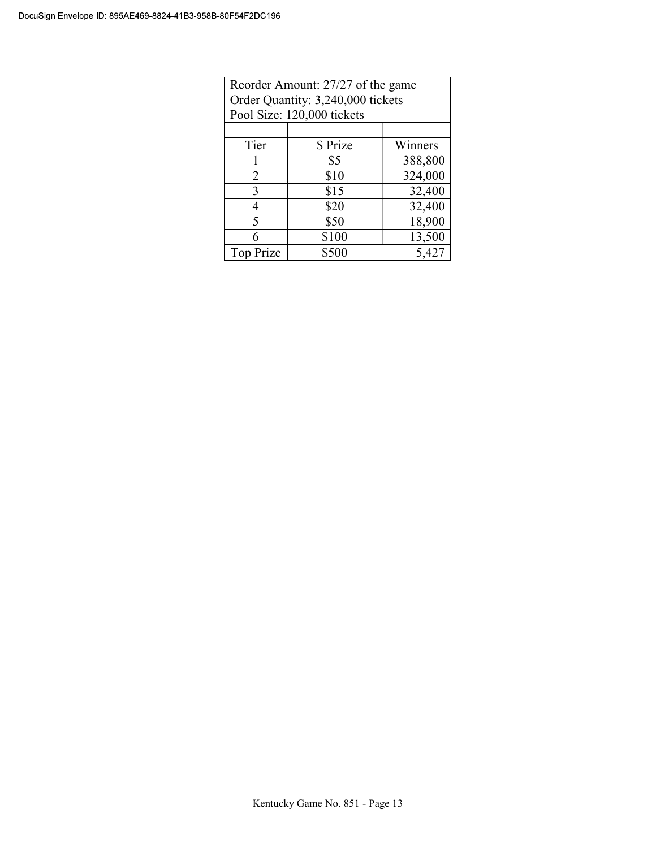| Reorder Amount: 27/27 of the game |                                   |         |  |  |  |  |  |
|-----------------------------------|-----------------------------------|---------|--|--|--|--|--|
|                                   | Order Quantity: 3,240,000 tickets |         |  |  |  |  |  |
|                                   | Pool Size: 120,000 tickets        |         |  |  |  |  |  |
|                                   |                                   |         |  |  |  |  |  |
| Tier                              | \$ Prize                          | Winners |  |  |  |  |  |
|                                   | \$5                               | 388,800 |  |  |  |  |  |
| 2                                 | \$10                              |         |  |  |  |  |  |
| 3                                 | \$15                              | 32,400  |  |  |  |  |  |
| 4                                 | 32,400<br>\$20                    |         |  |  |  |  |  |
| 5                                 | 18,900<br>\$50                    |         |  |  |  |  |  |
| 6                                 | 13,500<br>\$100                   |         |  |  |  |  |  |
| Top Prize                         | \$500                             | 5,427   |  |  |  |  |  |